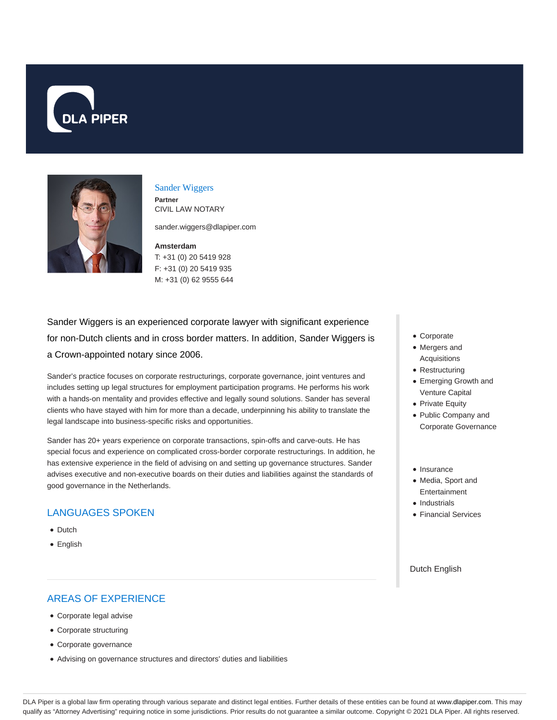



#### Sander Wiggers **Partner**

CIVIL LAW NOTARY

sander.wiggers@dlapiper.com

**Amsterdam** T: +31 (0) 20 5419 928 F: +31 (0) 20 5419 935 M: +31 (0) 62 9555 644

Sander Wiggers is an experienced corporate lawyer with significant experience for non-Dutch clients and in cross border matters. In addition, Sander Wiggers is a Crown-appointed notary since 2006.

Sander's practice focuses on corporate restructurings, corporate governance, joint ventures and includes setting up legal structures for employment participation programs. He performs his work with a hands-on mentality and provides effective and legally sound solutions. Sander has several clients who have stayed with him for more than a decade, underpinning his ability to translate the legal landscape into business-specific risks and opportunities.

Sander has 20+ years experience on corporate transactions, spin-offs and carve-outs. He has special focus and experience on complicated cross-border corporate restructurings. In addition, he has extensive experience in the field of advising on and setting up governance structures. Sander advises executive and non-executive boards on their duties and liabilities against the standards of good governance in the Netherlands.

# LANGUAGES SPOKEN

- Dutch
- English

# AREAS OF EXPERIENCE

- Corporate legal advise
- Corporate structuring
- Corporate governance
- Advising on governance structures and directors' duties and liabilities
- Corporate
- Mergers and Acquisitions
- Restructuring
- Emerging Growth and Venture Capital
- Private Equity
- Public Company and Corporate Governance
- · Insurance
- Media, Sport and Entertainment
- Industrials
- Financial Services

### Dutch English

DLA Piper is a global law firm operating through various separate and distinct legal entities. Further details of these entities can be found at www.dlapiper.com. This may qualify as "Attorney Advertising" requiring notice in some jurisdictions. Prior results do not guarantee a similar outcome. Copyright @ 2021 DLA Piper. All rights reserved.